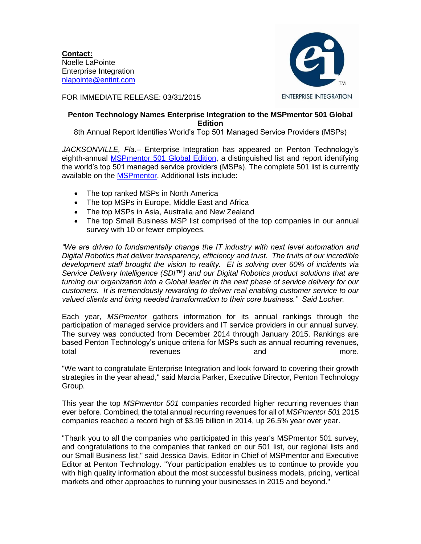**Contact:** Noelle LaPointe Enterprise Integration [nlapointe@entint.com](mailto:nlapointe@entint.com)



FOR IMMEDIATE RELEASE: 03/31/2015

## **Penton Technology Names Enterprise Integration to the MSPmentor 501 Global Edition**

8th Annual Report Identifies World's Top 501 Managed Service Providers (MSPs)

*JACKSONVILLE, Fla.–* Enterprise Integration has appeared on Penton Technology's eighth-annual **MSPmentor 501 Global Edition**, a distinguished list and report identifying the world's top 501 managed service providers (MSPs). The complete 501 list is currently available on the [MSPmentor.](file:///C:/Users/brittany.deady/AppData/Local/Microsoft/Windows/Temporary%20Internet%20Files/Content.Outlook/CM5OJI6Q/mspmentor.net) Additional lists include:

- The top ranked MSPs in North America
- The top MSPs in Europe, Middle East and Africa
- The top MSPs in Asia, Australia and New Zealand
- The top Small Business MSP list comprised of the top companies in our annual survey with 10 or fewer employees.

*"We are driven to fundamentally change the IT industry with next level automation and Digital Robotics that deliver transparency, efficiency and trust. The fruits of our incredible development staff brought the vision to reality. EI is solving over 60% of incidents via Service Delivery Intelligence (SDI™) and our Digital Robotics product solutions that are turning our organization into a Global leader in the next phase of service delivery for our customers. It is tremendously rewarding to deliver real enabling customer service to our valued clients and bring needed transformation to their core business." Said Locher.*

Each year, *MSPmentor* gathers information for its annual rankings through the participation of managed service providers and IT service providers in our annual survey. The survey was conducted from December 2014 through January 2015. Rankings are based Penton Technology's unique criteria for MSPs such as annual recurring revenues, total more revenues and and more.

"We want to congratulate Enterprise Integration and look forward to covering their growth strategies in the year ahead," said Marcia Parker, Executive Director, Penton Technology Group.

This year the top *MSPmentor 501* companies recorded higher recurring revenues than ever before. Combined, the total annual recurring revenues for all of *MSPmentor 501* 2015 companies reached a record high of \$3.95 billion in 2014, up 26.5% year over year.

"Thank you to all the companies who participated in this year's MSPmentor 501 survey, and congratulations to the companies that ranked on our 501 list, our regional lists and our Small Business list," said Jessica Davis, Editor in Chief of MSPmentor and Executive Editor at Penton Technology. "Your participation enables us to continue to provide you with high quality information about the most successful business models, pricing, vertical markets and other approaches to running your businesses in 2015 and beyond."